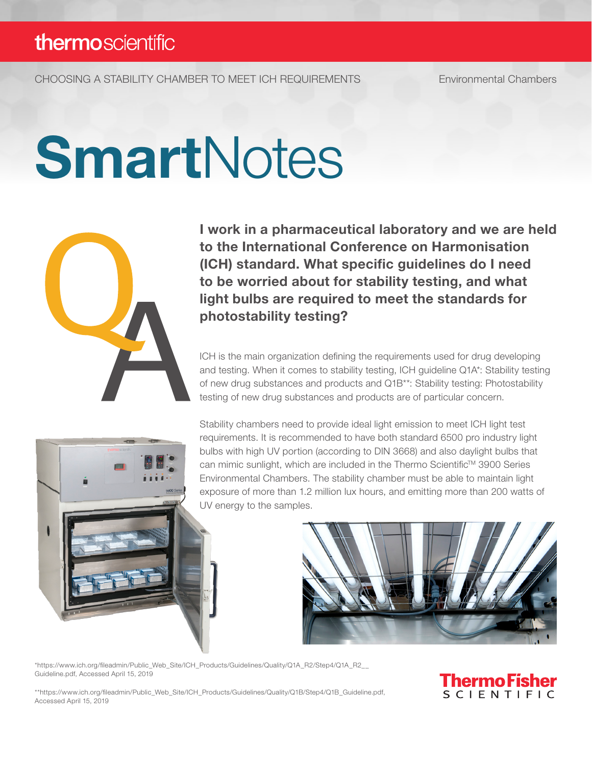CHOOSING A STABILITY CHAMBER TO MEET ICH REQUIREMENTS Environmental Chambers

# **SmartNotes**



I work in a pharmaceutical laboratory and we are held to the International Conference on Harmonisation (ICH) standard. What specific guidelines do I need to be worried about for stability testing, and what light bulbs are required to meet the standards for photostability testing?

ICH is the main organization defining the requirements used for drug developing and testing. When it comes to stability testing, ICH guideline Q1A\*: Stability testing of new drug substances and products and Q1B\*\*: Stability testing: Photostability testing of new drug substances and products are of particular concern.

Stability chambers need to provide ideal light emission to meet ICH light test requirements. It is recommended to have both standard 6500 pro industry light bulbs with high UV portion (according to DIN 3668) and also daylight bulbs that can mimic sunlight, which are included in the Thermo Scientific™ 3900 Series Environmental Chambers. The stability chamber must be able to maintain light exposure of more than 1.2 million lux hours, and emitting more than 200 watts of UV energy to the samples.



\*https://www.ich.org/fileadmin/Public\_Web\_Site/ICH\_Products/Guidelines/Quality/Q1A\_R2/Step4/Q1A\_R2\_\_ Guideline.pdf, Accessed April 15, 2019

\*\*https://www.ich.org/fileadmin/Public\_Web\_Site/ICH\_Products/Guidelines/Quality/Q1B/Step4/Q1B\_Guideline.pdf, Accessed April 15, 2019